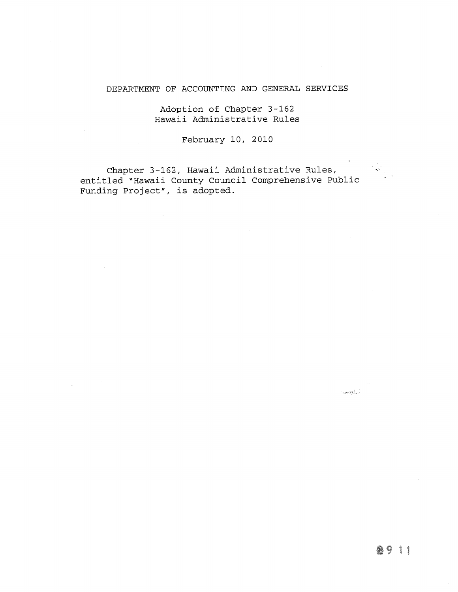# DEPARTMENT OF ACCOUNTING AND GENERAL SERVICES

Adoption of Chapter 3-162 Hawaii Administrative Rules

February 10, 2010

Chapter 3-162, Hawaii Administrative Rules, entitled "Hawaii County Council Comprehensive Public Funding Project", is adopted.

 $\label{eq:3.1} \tau_{\rm M2D} \exp\left(\frac{1}{\hbar} \int_{\rm M} \rho_{\rm eff} \right)$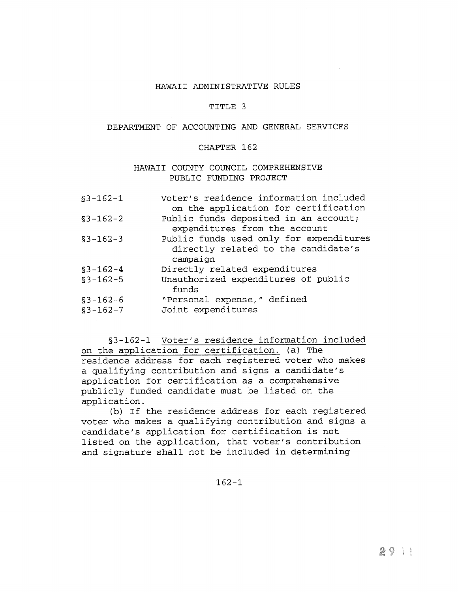## HAWAII ADMINISTRATIVE RULES

### TITLE <sup>3</sup>

#### DEPARTMENT OF ACCOUNTING AND GENERAL SERVICES

#### CHAPTER 162

## HAWAII COUNTY COUNCIL COMPREHENSIVE PUBLIC FUNDING PROJECT

| $$3-162-1$               | Voter's residence information included<br>on the application for certification             |
|--------------------------|--------------------------------------------------------------------------------------------|
| $$3-162-2$               | Public funds deposited in an account;<br>expenditures from the account                     |
| $$3 - 162 - 3$           | Public funds used only for expenditures<br>directly related to the candidate's<br>campaign |
| $$3-162-4$               | Directly related expenditures                                                              |
| $$3-162-5$               | Unauthorized expenditures of public<br>funds                                               |
| $$3-162-6$<br>$$3-162-7$ | "Personal expense," defined<br>Joint expenditures                                          |

§3-162-1 Voter's residence information included on the application for certification. (a) The residence address for each registered voter who makes a qualifying contribution and signs a candidate's application for certification as a comprehensive publicly funded candidate must be listed on the application.

(b) If the residence address for each registered voter who makes a qualifying contribution and signs a candidate's application for certification is not listed on the application, that voter's contribution and signature shall not be included in determining

162—1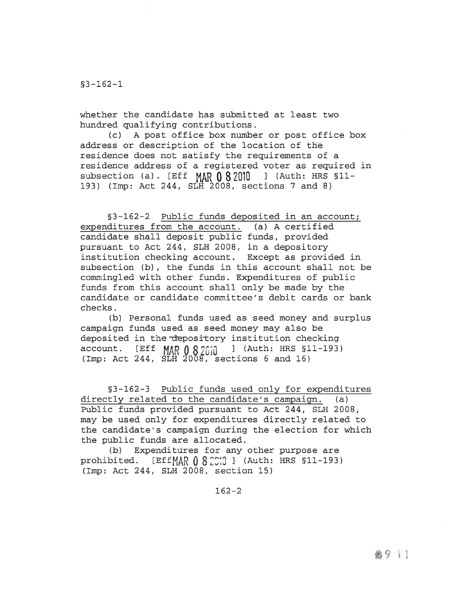whether the candidate has submitted at least two hundred qualifying contributions.

(c) <sup>A</sup> post office box number or post office box address or description of the location of the residence does not satisfy the requirements of a residence address of a registered voter as required in subsection (a). [Eff  $MAR$  082010 ] (Auth: HRS §11-193) (Imp: Act 244, SLH 2008, sections <sup>7</sup> and 8)

§3-162-2 Public funds deposited in an account; expenditures from the account. (a) <sup>A</sup> certified candidate shall deposit public funds, provided pursuant to Act 244, SLH 2008, in a depository institution checking account. Except as provided in subsection (b), the funds in this account shall not be commingled with other funds. Expenditures of public funds from this account shall only be made by the candidate or candidate committee's debit cards or bank checks.

(b) Personal funds used as seed money and surplus campaign funds used as seed money may also be deposited in the depository institution checking  $\bar{a}$ count. [Eff MAR  $\bar{0}$  8 2010 ] (Auth: HRS §11-193) (Imp: Act 244, SLH 2008, sections <sup>6</sup> and 16)

§3-162-3 Public funds used only for expenditures directly related to the candidate's campaign. (a) Public funds provided pursuant to Act 244, SLH 2008, may be used only for expenditures directly related to the candidate's campaign during the election for which the public funds are allocated.

(b) Expenditures for any other purpose are prohibited. [Eff $MAR$  0 8 2010 ] (Auth: HRS §11-193) (Imp: Act 244, SLH 2008, section 15)

 $162 - 2$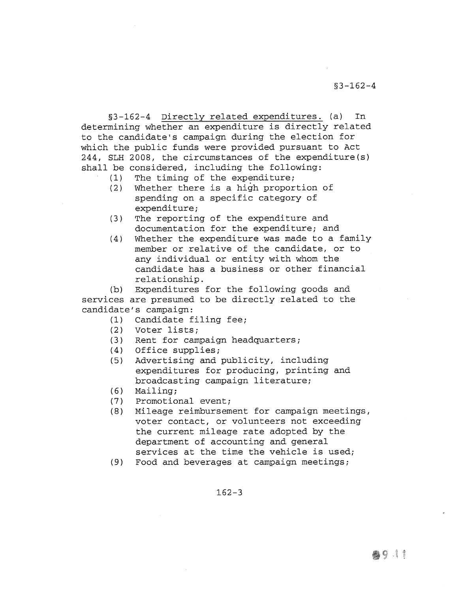§3-162-4 Directly related expenditures. (a) In determining whether an expenditure is directly related to the candidate's campaign during the election for which the public funds were provided pursuant to Act 244, SLH 2008, the circumstances of the expenditure(s) shall be considered, including the following:<br>(1) The timing of the expenditure;

- The timing of the expenditure;
- (2) Whether there is a high proportion of spending on a specific category of expenditure;
- (3) The reporting of the expenditure and documentation for the expenditure; and
- (4) Whether the expenditure was made to a family member or relative of the candidate, or to any individual or entity with whom the candidate has a business or other financial relationship.

(b) Expenditures for the following goods and services are presumed to be directly related to the candidate' s campaign:

- (1) Candidate filing fee;
- (2) Voter lists;
- (3) Rent for campaign headquarters;
- (4) Office supplies;
- (5) Advertising and publicity, including expenditures for producing, printing and broadcasting campaign literature;
- (6) Mailing;
- (7) Promotional event;
- (8) Mileage reimbursement for campaign meetings, voter contact, or volunteers not exceeding the current mileage rate adopted by the department of accounting and. general services at the time the vehicle is used;
- (9) Food and beverages at campaign meetings;

 $162 - 3$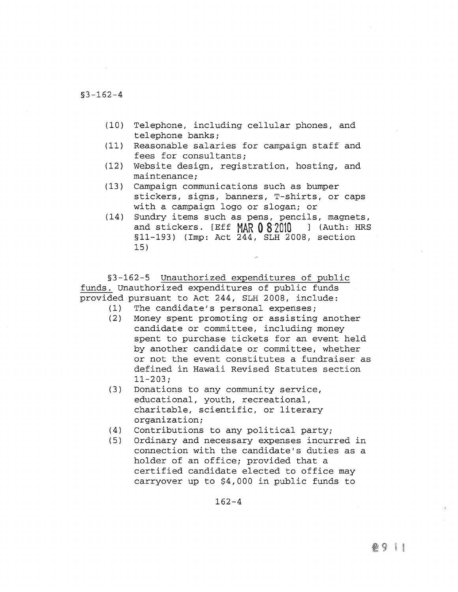- (10) Telephone, including cellular phones, and telephone banks;
- (11) Reasonable salaries for campaign staff and fees for consultants;
- (12) Website design, registration, hosting, and maintenance;
- (13) Campaign communications such as bumper stickers, signs, banners, T-shirts, or caps with a campaign logo or slogan; or
- (14) Sundry items such as pens, pencils, magnets, and stickers. [Eff  $MAP 0 82010$  ] (Auth: HRS §11—193) (Imp: Act 244, SLH 2008, section 15)

§3-162-5 Unauthorized expenditures of public funds. Unauthorized expenditures of public funds provided pursuant to Act 244, SLH 2008, include:

- (1) The candidate's personal expenses;
- (2) Money spent promoting or assisting another candidate or committee, including money spent to purchase tickets for an event held by another candidate or committee, whether or not the event constitutes a fundraiser as defined in Hawaii Revised Statutes section  $11 - 203;$
- (3) Donations to any community service, educational, youth, recreational, charitable, scientific, or literary organization;
- (4) Contributions to any political party;
- (5) Ordinary and necessary expenses incurred in connection with the candidate's duties as a holder of an office; provided that a certified candidate elected to office may carryover up to \$4,000 in public funds to

 $162 - 4$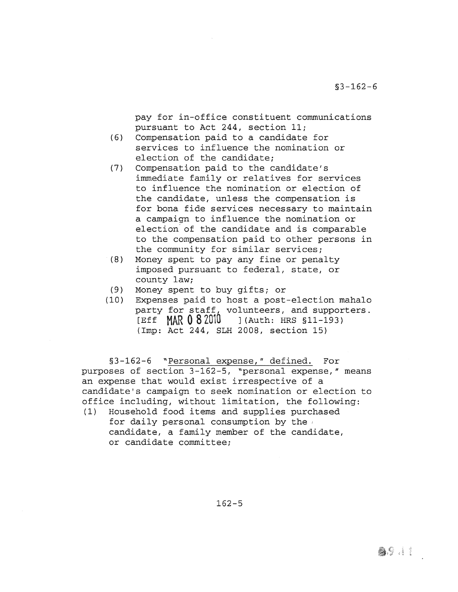pay for in-office constituent communications pursuant to Act 244, section 11;

- (6) Compensation paid to a candidate for services to influence the nomination or election of the candidate;
- (7) Compensation paid to the candidate's immediate family or relatives for services to influence the nomination or election of the candidate, unless the compensation is for bona fide services necessary to maintain a campaign to influence the nomination or election of the candidate and is comparable to the compensation paid to other persons in the community for similar services;
- (8) Money spent to pay any fine or penalty imposed pursuant to federal, state, or county law;
- (9) Money spent to buy gifts; or<br>(10) Expenses paid to host a post
- Expenses paid to host a post-election mahalo party for staff, volunteers, and supporters.<br>[Eff  $MAR$  0 8 2010 ] (Auth: HRS §11-193) ](Auth: HRS §11-193) (Imp: Act 244, SLH 2008, section 15)

§3-162-6 "Personal expense," defined. For purposes of section 3-162-5, "personal expense," means an expense that would exist irrespective of a candidate's campaign to seek nomination or election to office including, without limitation, the following:

(1) Household food items and supplies purchased for daily personal consumption by the candidate, a family member of the candidate, or candidate committee;

162—5